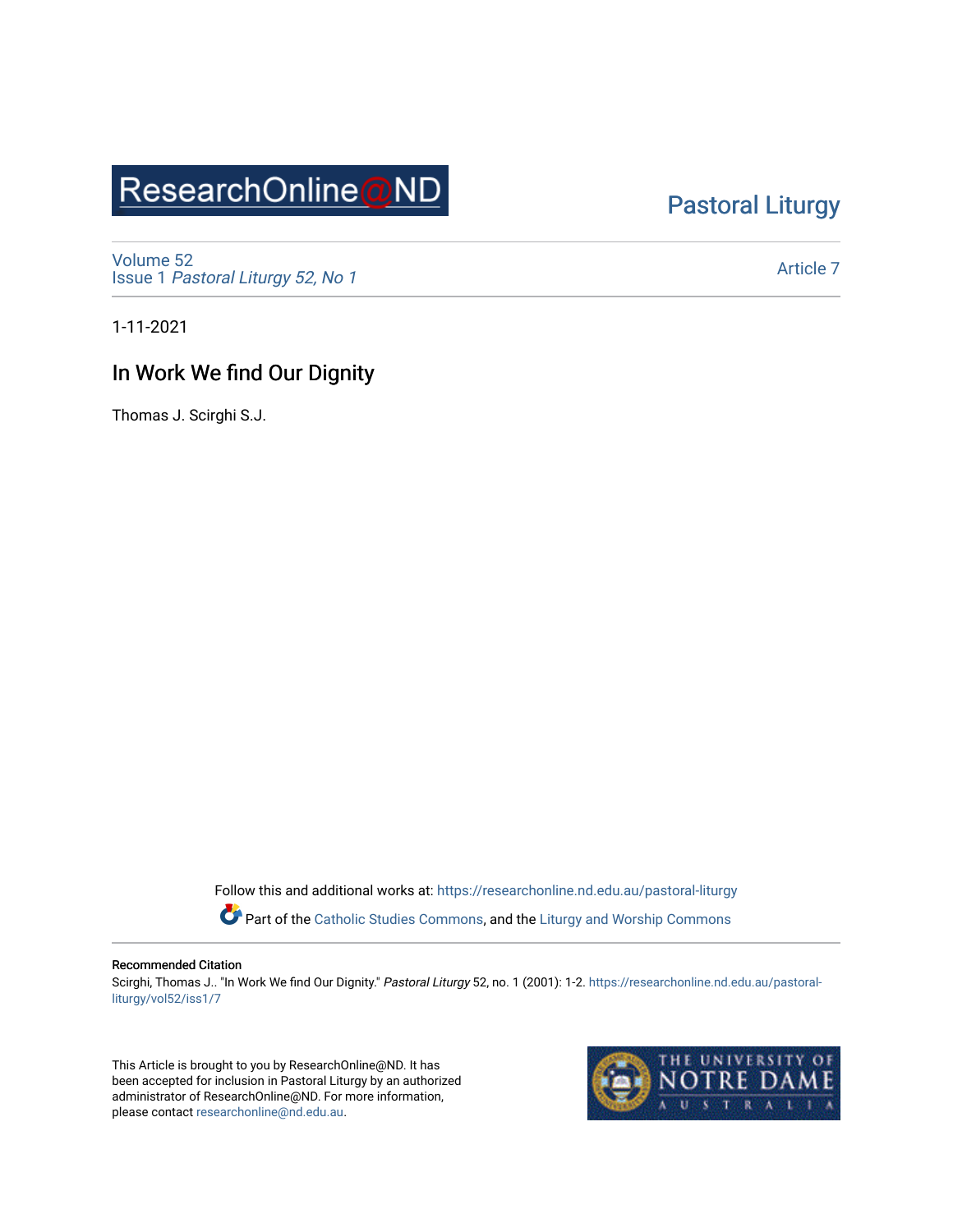# ResearchOnline@ND

## [Pastoral Liturgy](https://researchonline.nd.edu.au/pastoral-liturgy)

[Volume 52](https://researchonline.nd.edu.au/pastoral-liturgy/vol52) Issue 1 [Pastoral Liturgy 52, No 1](https://researchonline.nd.edu.au/pastoral-liturgy/vol52/iss1)

[Article 7](https://researchonline.nd.edu.au/pastoral-liturgy/vol52/iss1/7) 

1-11-2021

### In Work We find Our Dignity

Thomas J. Scirghi S.J.

Follow this and additional works at: [https://researchonline.nd.edu.au/pastoral-liturgy](https://researchonline.nd.edu.au/pastoral-liturgy?utm_source=researchonline.nd.edu.au%2Fpastoral-liturgy%2Fvol52%2Fiss1%2F7&utm_medium=PDF&utm_campaign=PDFCoverPages)

Part of the [Catholic Studies Commons,](http://network.bepress.com/hgg/discipline/1294?utm_source=researchonline.nd.edu.au%2Fpastoral-liturgy%2Fvol52%2Fiss1%2F7&utm_medium=PDF&utm_campaign=PDFCoverPages) and the [Liturgy and Worship Commons](http://network.bepress.com/hgg/discipline/1188?utm_source=researchonline.nd.edu.au%2Fpastoral-liturgy%2Fvol52%2Fiss1%2F7&utm_medium=PDF&utm_campaign=PDFCoverPages) 

#### Recommended Citation

Scirghi, Thomas J.. "In Work We find Our Dignity." Pastoral Liturgy 52, no. 1 (2001): 1-2. [https://researchonline.nd.edu.au/pastoral](https://researchonline.nd.edu.au/pastoral-liturgy/vol52/iss1/7?utm_source=researchonline.nd.edu.au%2Fpastoral-liturgy%2Fvol52%2Fiss1%2F7&utm_medium=PDF&utm_campaign=PDFCoverPages)[liturgy/vol52/iss1/7](https://researchonline.nd.edu.au/pastoral-liturgy/vol52/iss1/7?utm_source=researchonline.nd.edu.au%2Fpastoral-liturgy%2Fvol52%2Fiss1%2F7&utm_medium=PDF&utm_campaign=PDFCoverPages)

This Article is brought to you by ResearchOnline@ND. It has been accepted for inclusion in Pastoral Liturgy by an authorized administrator of ResearchOnline@ND. For more information, please contact [researchonline@nd.edu.au.](mailto:researchonline@nd.edu.au)

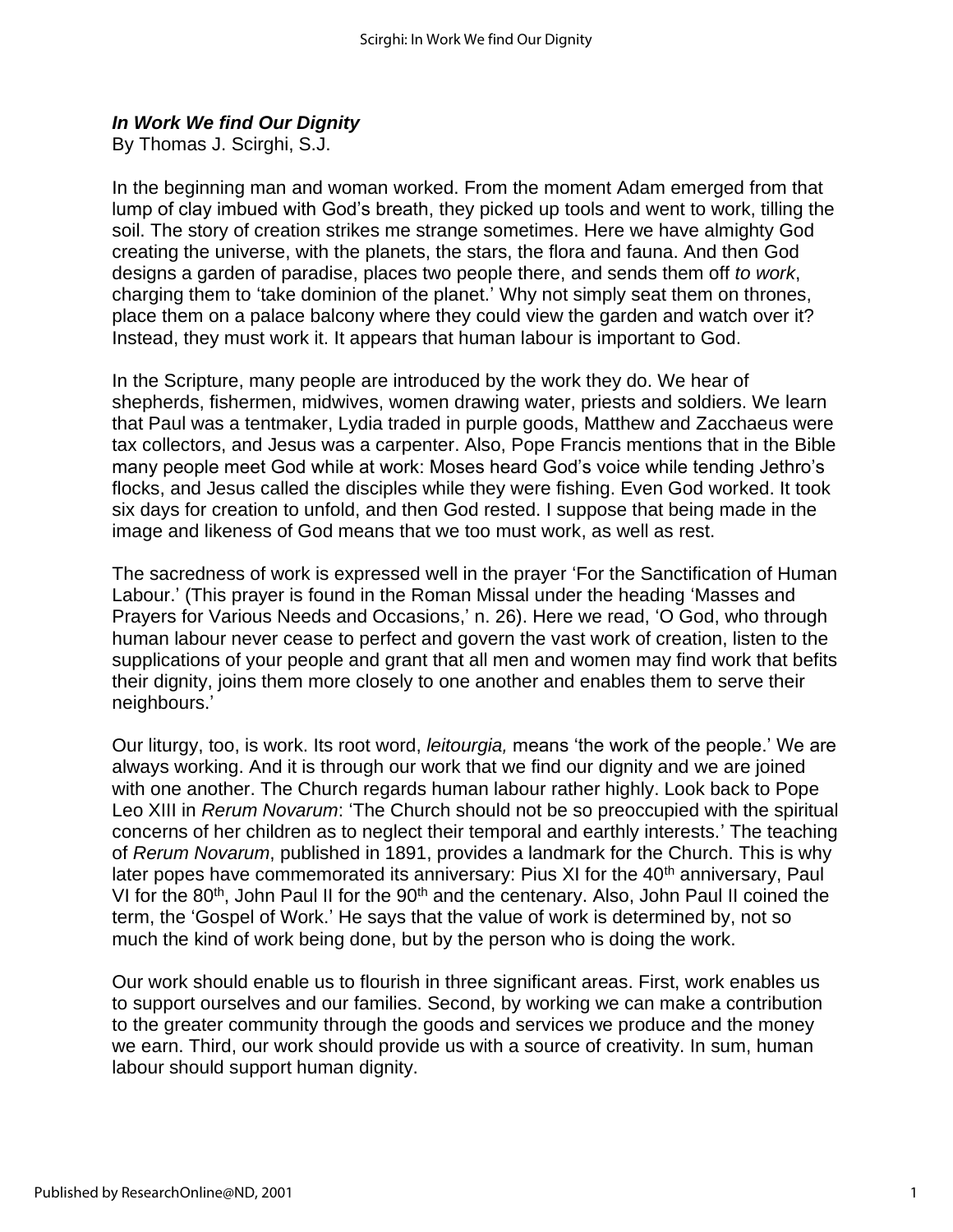#### *In Work We find Our Dignity*

By Thomas J. Scirghi, S.J.

In the beginning man and woman worked. From the moment Adam emerged from that lump of clay imbued with God's breath, they picked up tools and went to work, tilling the soil. The story of creation strikes me strange sometimes. Here we have almighty God creating the universe, with the planets, the stars, the flora and fauna. And then God designs a garden of paradise, places two people there, and sends them off *to work*, charging them to 'take dominion of the planet.' Why not simply seat them on thrones, place them on a palace balcony where they could view the garden and watch over it? Instead, they must work it. It appears that human labour is important to God.

In the Scripture, many people are introduced by the work they do. We hear of shepherds, fishermen, midwives, women drawing water, priests and soldiers. We learn that Paul was a tentmaker, Lydia traded in purple goods, Matthew and Zacchaeus were tax collectors, and Jesus was a carpenter. Also, Pope Francis mentions that in the Bible many people meet God while at work: Moses heard God's voice while tending Jethro's flocks, and Jesus called the disciples while they were fishing. Even God worked. It took six days for creation to unfold, and then God rested. I suppose that being made in the image and likeness of God means that we too must work, as well as rest.

The sacredness of work is expressed well in the prayer 'For the Sanctification of Human Labour.' (This prayer is found in the Roman Missal under the heading 'Masses and Prayers for Various Needs and Occasions,' n. 26). Here we read, 'O God, who through human labour never cease to perfect and govern the vast work of creation, listen to the supplications of your people and grant that all men and women may find work that befits their dignity, joins them more closely to one another and enables them to serve their neighbours.'

Our liturgy, too, is work. Its root word, *leitourgia,* means 'the work of the people.' We are always working. And it is through our work that we find our dignity and we are joined with one another. The Church regards human labour rather highly. Look back to Pope Leo XIII in *Rerum Novarum*: 'The Church should not be so preoccupied with the spiritual concerns of her children as to neglect their temporal and earthly interests.' The teaching of *Rerum Novarum*, published in 1891, provides a landmark for the Church. This is why later popes have commemorated its anniversary: Pius XI for the 40<sup>th</sup> anniversary, Paul VI for the 80<sup>th</sup>, John Paul II for the 90<sup>th</sup> and the centenary. Also, John Paul II coined the term, the 'Gospel of Work.' He says that the value of work is determined by, not so much the kind of work being done, but by the person who is doing the work.

Our work should enable us to flourish in three significant areas. First, work enables us to support ourselves and our families. Second, by working we can make a contribution to the greater community through the goods and services we produce and the money we earn. Third, our work should provide us with a source of creativity. In sum, human labour should support human dignity.